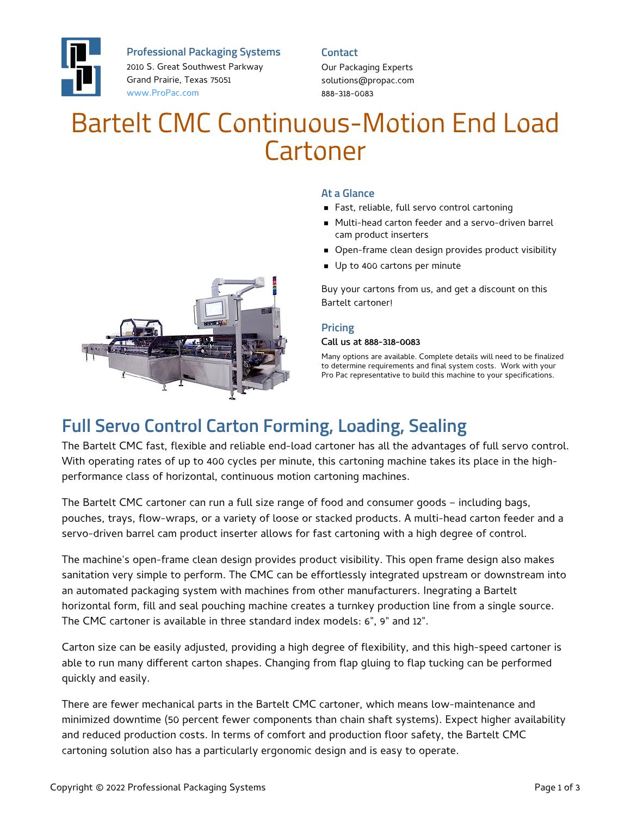

**Professional Packaging Systems**

2010 S. Great Southwest Parkway Grand Prairie, Texas 75051 [www.ProPac.com](https://www.propac.com/)

**Contact** Our Packaging Experts solutions@propac.com 888-318-0083

# Bartelt CMC Continuous-Motion End Load Cartoner



#### **At a Glance**

- Fast, reliable, full servo control cartoning
- Multi-head carton feeder and a servo-driven barrel cam product inserters
- **Den-frame clean design provides product visibility**
- Up to 400 cartons per minute

Buy your cartons from us, and get a discount on this Bartelt cartoner!

#### **Pricing**

#### Call us at 888-318-0083

Many options are available. Complete details will need to be finalized to determine requirements and final system costs. Work with your Pro Pac representative to build this machine to your specifications.

## **Full Servo Control Carton Forming, Loading, Sealing**

The Bartelt CMC fast, flexible and reliable end-load cartoner has all the advantages of full servo control. With operating rates of up to 400 cycles per minute, this cartoning machine takes its place in the highperformance class of horizontal, continuous motion cartoning machines.

The Bartelt CMC cartoner can run a full size range of food and consumer goods – including bags, pouches, trays, flow-wraps, or a variety of loose or stacked products. A multi-head carton feeder and a servo-driven barrel cam product inserter allows for fast cartoning with a high degree of control.

The machine's open-frame clean design provides product visibility. This open frame design also makes sanitation very simple to perform. The CMC can be effortlessly integrated upstream or downstream into an automated packaging system with machines from other manufacturers. Inegrating a Bartelt horizontal form, fill and seal pouching machine creates a turnkey production line from a single source. The CMC cartoner is available in three standard index models: 6", 9" and 12".

Carton size can be easily adjusted, providing a high degree of flexibility, and this high-speed cartoner is able to run many different carton shapes. Changing from flap gluing to flap tucking can be performed quickly and easily.

There are fewer mechanical parts in the Bartelt CMC cartoner, which means low-maintenance and minimized downtime (50 percent fewer components than chain shaft systems). Expect higher availability and reduced production costs. In terms of comfort and production floor safety, the Bartelt CMC cartoning solution also has a particularly ergonomic design and is easy to operate.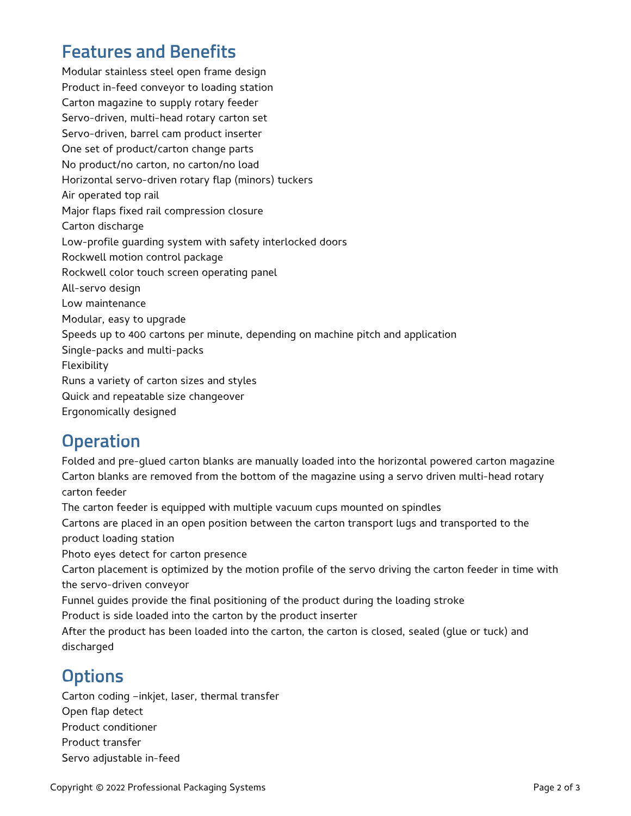#### **Features and Benefits**

Modular stainless steel open frame design Product in-feed conveyor to loading station Carton magazine to supply rotary feeder Servo-driven, multi-head rotary carton set Servo-driven, barrel cam product inserter One set of product/carton change parts No product/no carton, no carton/no load Horizontal servo-driven rotary flap (minors) tuckers Air operated top rail Major flaps fixed rail compression closure Carton discharge Low-profile guarding system with safety interlocked doors Rockwell motion control package Rockwell color touch screen operating panel All-servo design Low maintenance Modular, easy to upgrade Speeds up to 400 cartons per minute, depending on machine pitch and application Single-packs and multi-packs Flexibility Runs a variety of carton sizes and styles Quick and repeatable size changeover Ergonomically designed

## **Operation**

Folded and pre-glued carton blanks are manually loaded into the horizontal powered carton magazine Carton blanks are removed from the bottom of the magazine using a servo driven multi-head rotary carton feeder The carton feeder is equipped with multiple vacuum cups mounted on spindles Cartons are placed in an open position between the carton transport lugs and transported to the product loading station Photo eyes detect for carton presence Carton placement is optimized by the motion profile of the servo driving the carton feeder in time with the servo-driven conveyor Funnel guides provide the final positioning of the product during the loading stroke Product is side loaded into the carton by the product inserter After the product has been loaded into the carton, the carton is closed, sealed (glue or tuck) and discharged

## **Options**

Carton coding –inkjet, laser, thermal transfer Open flap detect Product conditioner Product transfer Servo adjustable in-feed